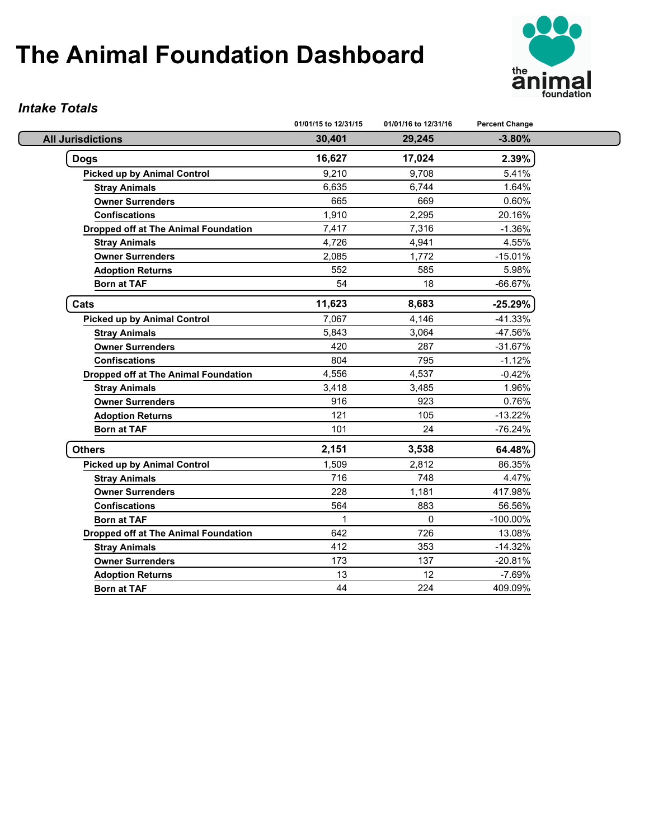

#### *Intake Totals*

|                                             | 01/01/15 to 12/31/15 | 01/01/16 to 12/31/16 | <b>Percent Change</b> |
|---------------------------------------------|----------------------|----------------------|-----------------------|
| <b>All Jurisdictions</b>                    | 30,401               | 29,245               | $-3.80%$              |
| <b>Dogs</b>                                 | 16,627               | 17,024               | 2.39%                 |
| <b>Picked up by Animal Control</b>          | 9,210                | 9,708                | 5.41%                 |
| <b>Stray Animals</b>                        | 6,635                | 6,744                | 1.64%                 |
| <b>Owner Surrenders</b>                     | 665                  | 669                  | 0.60%                 |
| <b>Confiscations</b>                        | 1,910                | 2,295                | 20.16%                |
| <b>Dropped off at The Animal Foundation</b> | 7,417                | 7,316                | $-1.36%$              |
| <b>Stray Animals</b>                        | 4,726                | 4,941                | 4.55%                 |
| <b>Owner Surrenders</b>                     | 2,085                | 1,772                | $-15.01%$             |
| <b>Adoption Returns</b>                     | 552                  | 585                  | 5.98%                 |
| <b>Born at TAF</b>                          | 54                   | 18                   | -66.67%               |
| Cats                                        | 11,623               | 8,683                | $-25.29%$             |
| <b>Picked up by Animal Control</b>          | 7,067                | 4,146                | $-41.33%$             |
| <b>Stray Animals</b>                        | 5,843                | 3,064                | -47.56%               |
| <b>Owner Surrenders</b>                     | 420                  | 287                  | $-31.67%$             |
| <b>Confiscations</b>                        | 804                  | 795                  | $-1.12%$              |
| Dropped off at The Animal Foundation        | 4,556                | 4,537                | $-0.42%$              |
| <b>Stray Animals</b>                        | 3,418                | 3,485                | 1.96%                 |
| <b>Owner Surrenders</b>                     | 916                  | 923                  | 0.76%                 |
| <b>Adoption Returns</b>                     | 121                  | 105                  | $-13.22%$             |
| <b>Born at TAF</b>                          | 101                  | 24                   | -76.24%               |
| <b>Others</b>                               | 2,151                | 3,538                | 64.48%                |
| <b>Picked up by Animal Control</b>          | 1,509                | 2,812                | 86.35%                |
| <b>Stray Animals</b>                        | 716                  | 748                  | 4.47%                 |
| <b>Owner Surrenders</b>                     | 228                  | 1,181                | 417.98%               |
| <b>Confiscations</b>                        | 564                  | 883                  | 56.56%                |
| <b>Born at TAF</b>                          | $\mathbf{1}$         | $\mathbf{0}$         | $-100.00\%$           |
| <b>Dropped off at The Animal Foundation</b> | 642                  | 726                  | 13.08%                |
| <b>Stray Animals</b>                        | 412                  | 353                  | $-14.32%$             |
| <b>Owner Surrenders</b>                     | 173                  | 137                  | $-20.81%$             |
| <b>Adoption Returns</b>                     | 13                   | 12                   | $-7.69%$              |
| <b>Born at TAF</b>                          | 44                   | 224                  | 409.09%               |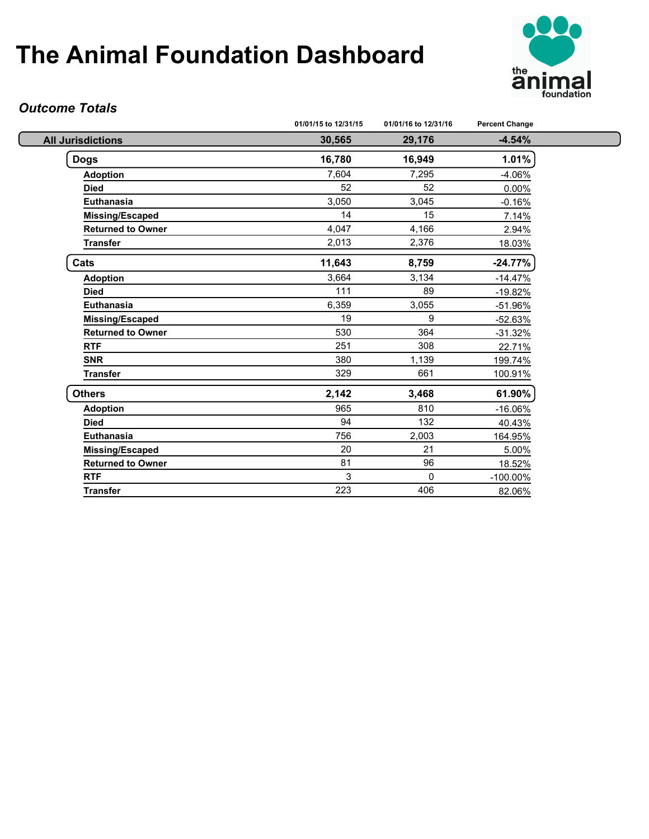

### *Outcome Totals*

|                          | 01/01/15 to 12/31/15 | 01/01/16 to 12/31/16 | <b>Percent Change</b> |
|--------------------------|----------------------|----------------------|-----------------------|
| <b>All Jurisdictions</b> | 30,565               | 29,176               | $-4.54%$              |
| <b>Dogs</b>              | 16,780               | 16,949               | 1.01%                 |
| <b>Adoption</b>          | 7,604                | 7,295                | $-4.06%$              |
| <b>Died</b>              | 52                   | 52                   | 0.00%                 |
| Euthanasia               | 3,050                | 3,045                | $-0.16%$              |
| <b>Missing/Escaped</b>   | 14                   | 15                   | 7.14%                 |
| <b>Returned to Owner</b> | 4,047                | 4,166                | 2.94%                 |
| <b>Transfer</b>          | 2,013                | 2,376                | 18.03%                |
| Cats                     | 11,643               | 8,759                | $-24.77%$             |
| <b>Adoption</b>          | 3,664                | 3,134                | $-14.47%$             |
| <b>Died</b>              | 111                  | 89                   | $-19.82%$             |
| Euthanasia               | 6,359                | 3,055                | -51.96%               |
| <b>Missing/Escaped</b>   | 19                   | 9                    | $-52.63%$             |
| <b>Returned to Owner</b> | 530                  | 364                  | $-31.32%$             |
| <b>RTF</b>               | 251                  | 308                  | 22.71%                |
| <b>SNR</b>               | 380                  | 1,139                | 199.74%               |
| <b>Transfer</b>          | 329                  | 661                  | 100.91%               |
| <b>Others</b>            | 2,142                | 3,468                | 61.90%                |
| <b>Adoption</b>          | 965                  | 810                  | $-16.06%$             |
| <b>Died</b>              | 94                   | 132                  | 40.43%                |
| Euthanasia               | 756                  | 2,003                | 164.95%               |
| Missing/Escaped          | 20                   | 21                   | 5.00%                 |
| <b>Returned to Owner</b> | 81                   | 96                   | 18.52%                |
| <b>RTF</b>               | 3                    | $\mathbf{0}$         | $-100.00\%$           |
| <b>Transfer</b>          | 223                  | 406                  | 82.06%                |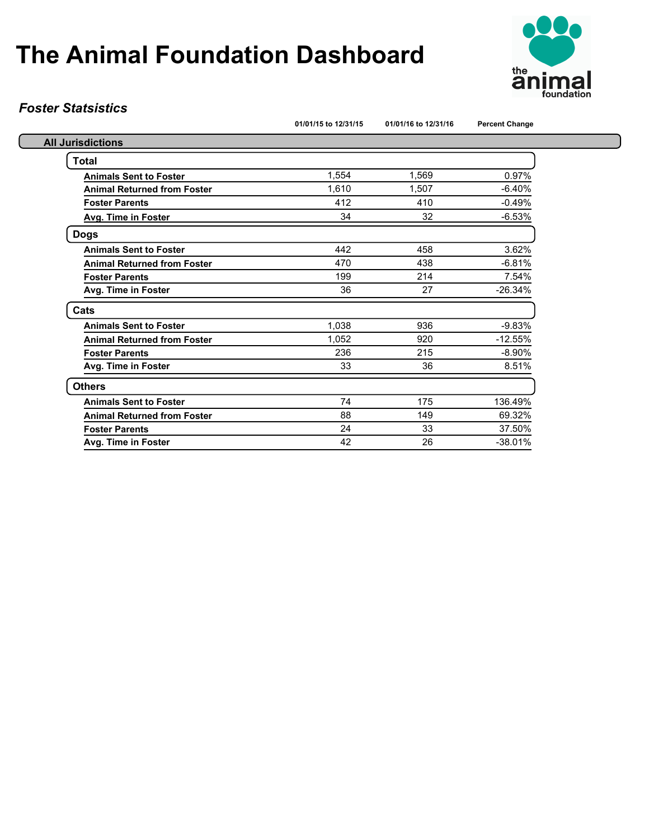

#### *Foster Statsistics*

|                                    | 01/01/15 to 12/31/15 | 01/01/16 to 12/31/16 | <b>Percent Change</b> |
|------------------------------------|----------------------|----------------------|-----------------------|
| <b>All Jurisdictions</b>           |                      |                      |                       |
| <b>Total</b>                       |                      |                      |                       |
| <b>Animals Sent to Foster</b>      | 1,554                | 1,569                | 0.97%                 |
| <b>Animal Returned from Foster</b> | 1.610                | 1.507                | $-6.40%$              |
| <b>Foster Parents</b>              | 412                  | 410                  | $-0.49%$              |
| <b>Avg. Time in Foster</b>         | 34                   | 32                   | $-6.53%$              |
| <b>Dogs</b>                        |                      |                      |                       |
| <b>Animals Sent to Foster</b>      | 442                  | 458                  | 3.62%                 |
| <b>Animal Returned from Foster</b> | 470                  | 438                  | $-6.81%$              |
| <b>Foster Parents</b>              | 199                  | 214                  | 7.54%                 |
| Avg. Time in Foster                | 36                   | 27                   | $-26.34%$             |
| Cats                               |                      |                      |                       |
| <b>Animals Sent to Foster</b>      | 1,038                | 936                  | $-9.83%$              |
| <b>Animal Returned from Foster</b> | 1,052                | 920                  | $-12.55%$             |
| <b>Foster Parents</b>              | 236                  | 215                  | $-8.90%$              |
| Avg. Time in Foster                | 33                   | 36                   | 8.51%                 |
| <b>Others</b>                      |                      |                      |                       |
| <b>Animals Sent to Foster</b>      | 74                   | 175                  | 136.49%               |
| <b>Animal Returned from Foster</b> | 88                   | 149                  | 69.32%                |
| <b>Foster Parents</b>              | 24                   | 33                   | 37.50%                |
| Avg. Time in Foster                | 42                   | 26                   | $-38.01%$             |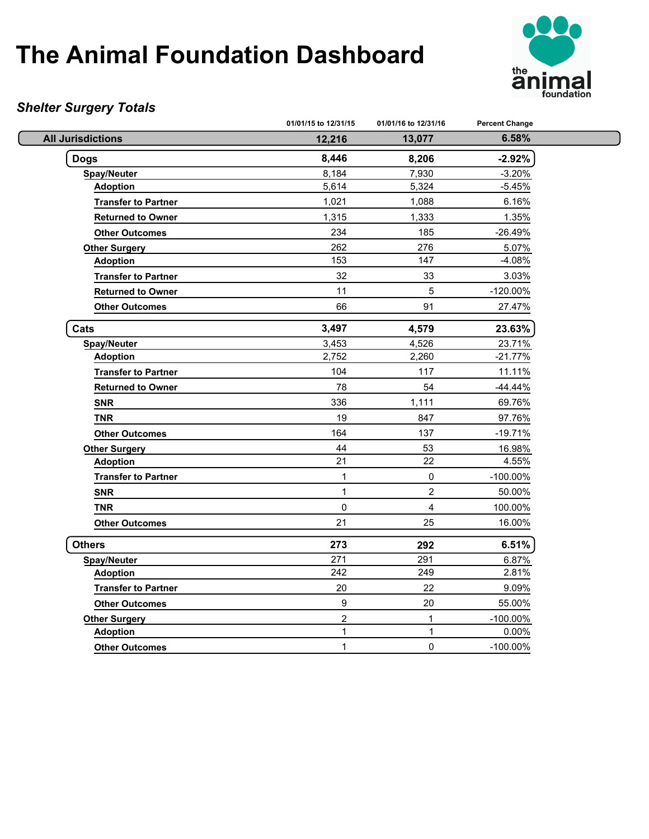

### *Shelter Surgery Totals*

|                            | 01/01/15 to 12/31/15 | 01/01/16 to 12/31/16 | <b>Percent Change</b> |  |
|----------------------------|----------------------|----------------------|-----------------------|--|
| <b>All Jurisdictions</b>   | 12,216               | 13,077               | 6.58%                 |  |
| <b>Dogs</b>                | 8,446                | 8,206                | $-2.92%$              |  |
| <b>Spay/Neuter</b>         | 8,184                | 7,930                | $-3.20%$              |  |
| <b>Adoption</b>            | 5,614                | 5,324                | $-5.45%$              |  |
| <b>Transfer to Partner</b> | 1,021                | 1,088                | 6.16%                 |  |
| <b>Returned to Owner</b>   | 1,315                | 1,333                | 1.35%                 |  |
| <b>Other Outcomes</b>      | 234                  | 185                  | $-26.49%$             |  |
| <b>Other Surgery</b>       | 262                  | 276                  | 5.07%                 |  |
| <b>Adoption</b>            | 153                  | 147                  | $-4.08%$              |  |
| <b>Transfer to Partner</b> | 32                   | 33                   | 3.03%                 |  |
| <b>Returned to Owner</b>   | 11                   | $\sqrt{5}$           | $-120.00\%$           |  |
| <b>Other Outcomes</b>      | 66                   | 91                   | 27.47%                |  |
| Cats                       | 3,497                | 4,579                | 23.63%                |  |
| <b>Spay/Neuter</b>         | 3,453                | 4,526                | 23.71%                |  |
| <b>Adoption</b>            | 2,752                | 2,260                | $-21.77%$             |  |
| <b>Transfer to Partner</b> | 104                  | 117                  | 11.11%                |  |
| <b>Returned to Owner</b>   | 78                   | 54                   | $-44.44%$             |  |
| <b>SNR</b>                 | 336                  | 1,111                | 69.76%                |  |
| <b>TNR</b>                 | 19                   | 847                  | 97.76%                |  |
| <b>Other Outcomes</b>      | 164                  | 137                  | $-19.71%$             |  |
| <b>Other Surgery</b>       | 44                   | 53                   | 16.98%                |  |
| <b>Adoption</b>            | 21                   | 22                   | 4.55%                 |  |
| <b>Transfer to Partner</b> | 1                    | 0                    | -100.00%              |  |
| <b>SNR</b>                 | $\mathbf{1}$         | $\overline{c}$       | 50.00%                |  |
| <b>TNR</b>                 | $\mathbf 0$          | $\overline{4}$       | 100.00%               |  |
| <b>Other Outcomes</b>      | 21                   | 25                   | 16.00%                |  |
| <b>Others</b>              | 273                  | 292                  | 6.51%                 |  |
| <b>Spay/Neuter</b>         | $\overline{271}$     | 291                  | 6.87%                 |  |
| <b>Adoption</b>            | 242                  | 249                  | 2.81%                 |  |
| <b>Transfer to Partner</b> | 20                   | 22                   | 9.09%                 |  |
| <b>Other Outcomes</b>      | $\boldsymbol{9}$     | 20                   | 55.00%                |  |
| <b>Other Surgery</b>       | $\overline{c}$       | $\mathbf{1}$         | $-100.00\%$           |  |
| <b>Adoption</b>            | 1                    | 1                    | 0.00%                 |  |
| <b>Other Outcomes</b>      | $\mathbf{1}$         | 0                    | $-100.00\%$           |  |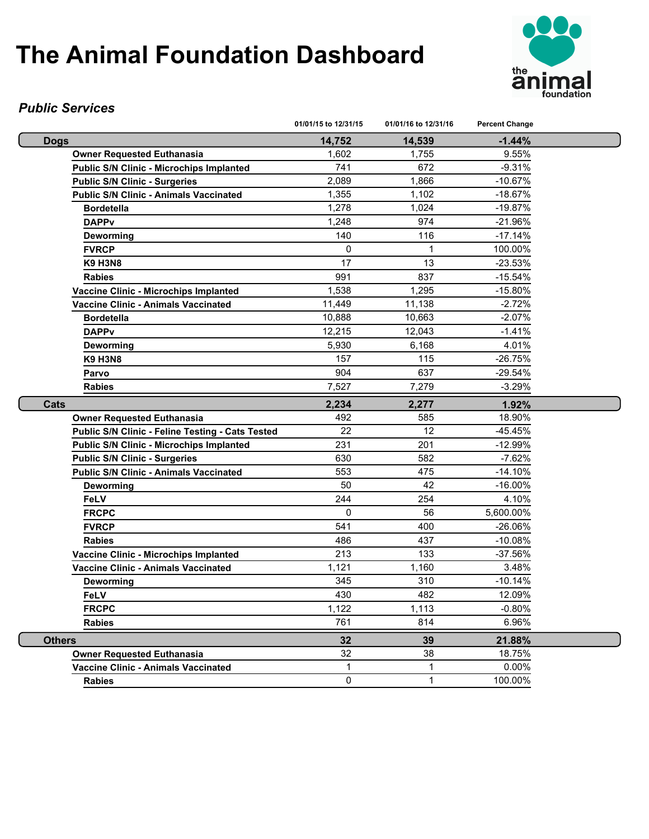

#### *Public Services*

|                                                  | 01/01/15 to 12/31/15 | 01/01/16 to 12/31/16 | <b>Percent Change</b> |  |
|--------------------------------------------------|----------------------|----------------------|-----------------------|--|
| <b>Dogs</b>                                      | 14,752               | 14,539               | $-1.44%$              |  |
| <b>Owner Requested Euthanasia</b>                | 1,602                | 1,755                | 9.55%                 |  |
| <b>Public S/N Clinic - Microchips Implanted</b>  | 741                  | 672                  | $-9.31%$              |  |
| <b>Public S/N Clinic - Surgeries</b>             | 2,089                | 1,866                | $-10.67%$             |  |
| <b>Public S/N Clinic - Animals Vaccinated</b>    | 1,355                | 1,102                | $-18.67%$             |  |
| <b>Bordetella</b>                                | 1,278                | 1,024                | $-19.87%$             |  |
| <b>DAPPv</b>                                     | 1,248                | 974                  | $-21.96%$             |  |
| Deworming                                        | 140                  | 116                  | $-17.14%$             |  |
| <b>FVRCP</b>                                     | 0                    | 1                    | 100.00%               |  |
| <b>K9 H3N8</b>                                   | 17                   | 13                   | $-23.53%$             |  |
| <b>Rabies</b>                                    | 991                  | 837                  | $-15.54%$             |  |
| Vaccine Clinic - Microchips Implanted            | 1,538                | 1,295                | $-15.80%$             |  |
| Vaccine Clinic - Animals Vaccinated              | 11,449               | 11,138               | $-2.72%$              |  |
| <b>Bordetella</b>                                | 10,888               | 10,663               | $-2.07%$              |  |
| <b>DAPPv</b>                                     | 12,215               | 12,043               | $-1.41%$              |  |
| Deworming                                        | 5,930                | 6,168                | 4.01%                 |  |
| <b>K9 H3N8</b>                                   | 157                  | 115                  | $-26.75%$             |  |
| Parvo                                            | 904                  | 637                  | $-29.54%$             |  |
| <b>Rabies</b>                                    | 7,527                | 7,279                | $-3.29%$              |  |
| Cats                                             | 2,234                | 2,277                | 1.92%                 |  |
| <b>Owner Requested Euthanasia</b>                | 492                  | 585                  | 18.90%                |  |
| Public S/N Clinic - Feline Testing - Cats Tested | 22                   | 12                   | $-45.45%$             |  |
| Public S/N Clinic - Microchips Implanted         | 231                  | 201                  | $-12.99%$             |  |
| <b>Public S/N Clinic - Surgeries</b>             | 630                  | 582                  | $-7.62%$              |  |
| <b>Public S/N Clinic - Animals Vaccinated</b>    | 553                  | 475                  | $-14.10%$             |  |
| Deworming                                        | 50                   | 42                   | $-16.00\%$            |  |
| <b>FeLV</b>                                      | 244                  | 254                  | 4.10%                 |  |
| <b>FRCPC</b>                                     | $\Omega$             | 56                   | 5,600.00%             |  |
| <b>FVRCP</b>                                     | 541                  | 400                  | $-26.06%$             |  |
| <b>Rabies</b>                                    | 486                  | 437                  | $-10.08%$             |  |
| Vaccine Clinic - Microchips Implanted            | 213                  | 133                  | $-37.56%$             |  |
| Vaccine Clinic - Animals Vaccinated              | 1,121                | 1,160                | 3.48%                 |  |
| Deworming                                        | 345                  | 310                  | $-10.14%$             |  |
| FeLV                                             | 430                  | 482                  | 12.09%                |  |
| <b>FRCPC</b>                                     | 1,122                | 1,113                | $-0.80%$              |  |
| <b>Rabies</b>                                    | 761                  | 814                  | 6.96%                 |  |
| <b>Others</b>                                    | 32                   | 39                   | 21.88%                |  |
| <b>Owner Requested Euthanasia</b>                | 32                   | 38                   | 18.75%                |  |
| <b>Vaccine Clinic - Animals Vaccinated</b>       | $\mathbf 1$          | 1                    | 0.00%                 |  |
| <b>Rabies</b>                                    | 0                    | 1                    | 100.00%               |  |
|                                                  |                      |                      |                       |  |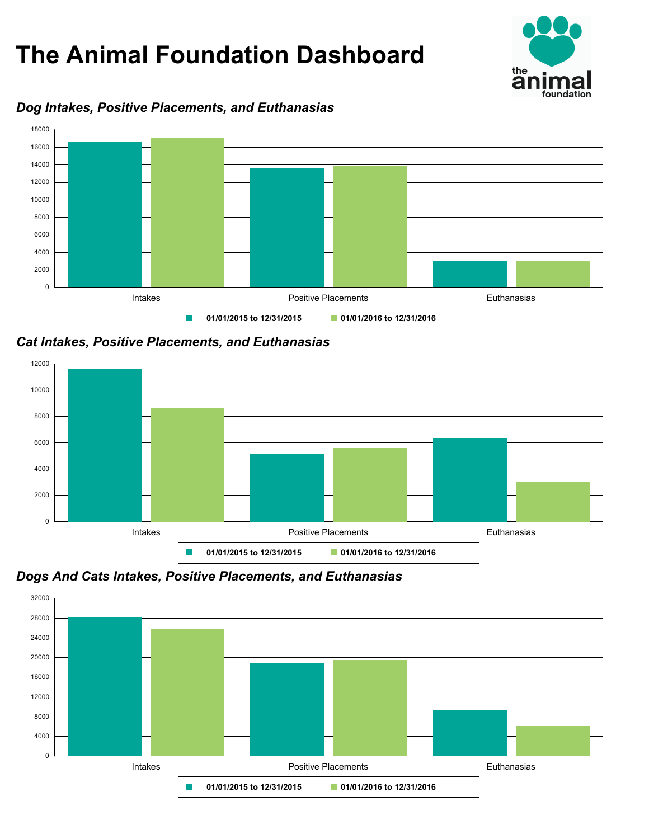

#### *Dog Intakes, Positive Placements, and Euthanasias*



*Cat Intakes, Positive Placements, and Euthanasias*





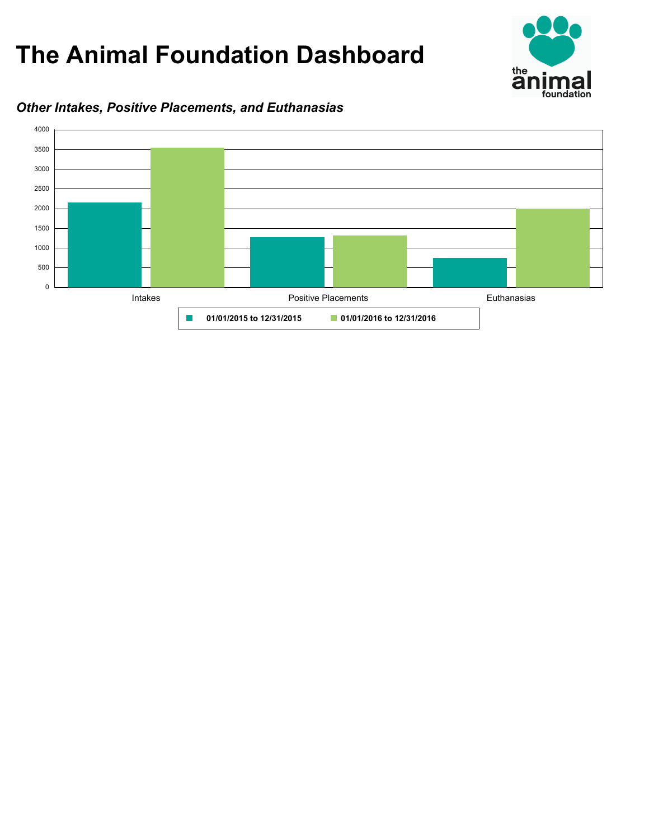

#### *Other Intakes, Positive Placements, and Euthanasias*